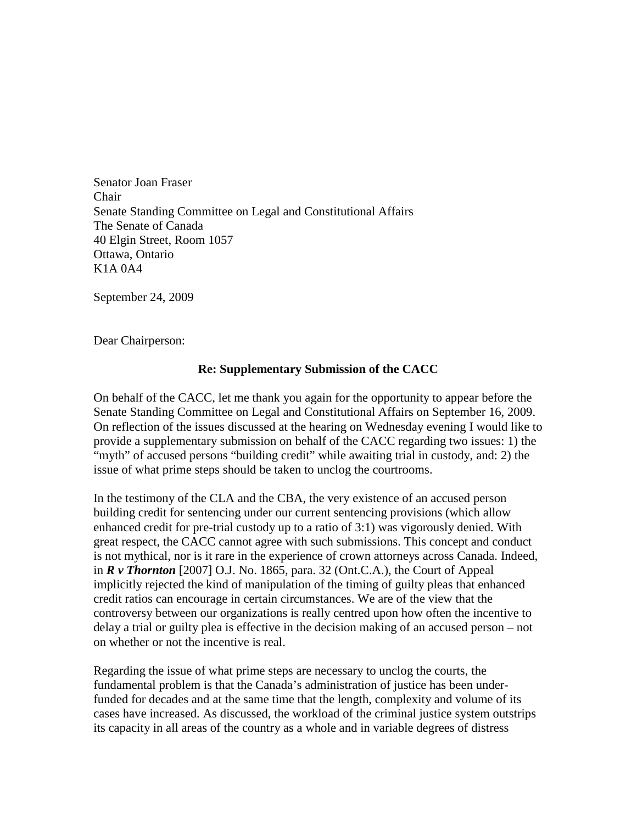Senator Joan Fraser Chair Senate Standing Committee on Legal and Constitutional Affairs The Senate of Canada 40 Elgin Street, Room 1057 Ottawa, Ontario K1A 0A4

September 24, 2009

Dear Chairperson:

## **Re: Supplementary Submission of the CACC**

On behalf of the CACC, let me thank you again for the opportunity to appear before the Senate Standing Committee on Legal and Constitutional Affairs on September 16, 2009. On reflection of the issues discussed at the hearing on Wednesday evening I would like to provide a supplementary submission on behalf of the CACC regarding two issues: 1) the "myth" of accused persons "building credit" while awaiting trial in custody, and: 2) the issue of what prime steps should be taken to unclog the courtrooms.

In the testimony of the CLA and the CBA, the very existence of an accused person building credit for sentencing under our current sentencing provisions (which allow enhanced credit for pre-trial custody up to a ratio of 3:1) was vigorously denied. With great respect, the CACC cannot agree with such submissions. This concept and conduct is not mythical, nor is it rare in the experience of crown attorneys across Canada. Indeed, in *R v Thornton* [2007] O.J. No. 1865, para. 32 (Ont.C.A.), the Court of Appeal implicitly rejected the kind of manipulation of the timing of guilty pleas that enhanced credit ratios can encourage in certain circumstances. We are of the view that the controversy between our organizations is really centred upon how often the incentive to delay a trial or guilty plea is effective in the decision making of an accused person – not on whether or not the incentive is real.

Regarding the issue of what prime steps are necessary to unclog the courts, the fundamental problem is that the Canada's administration of justice has been underfunded for decades and at the same time that the length, complexity and volume of its cases have increased. As discussed, the workload of the criminal justice system outstrips its capacity in all areas of the country as a whole and in variable degrees of distress